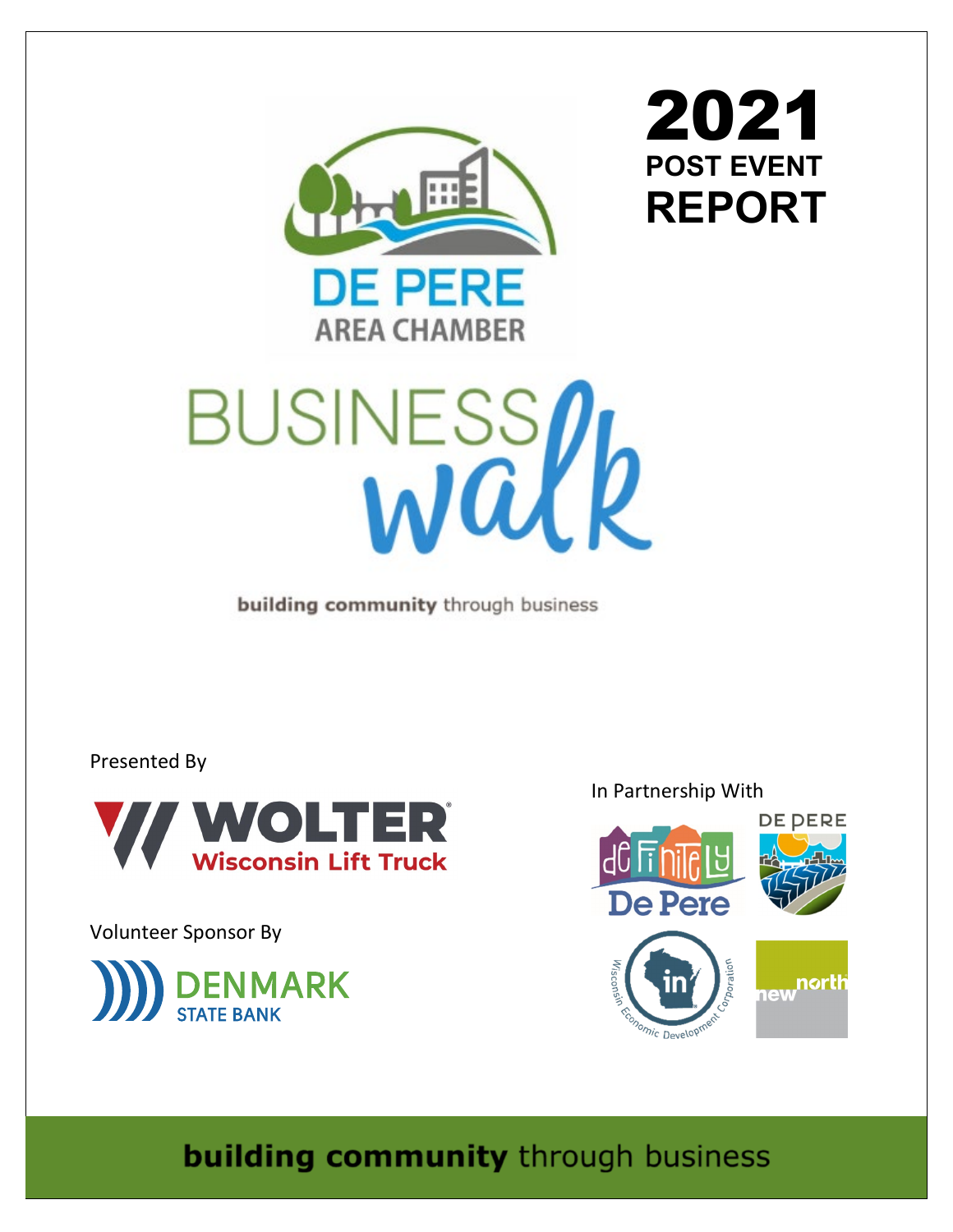

2021 **POST EVENT REPORT**



building community through business

Presented By



Volunteer Sponsor By



In Partnership With



**building community** through business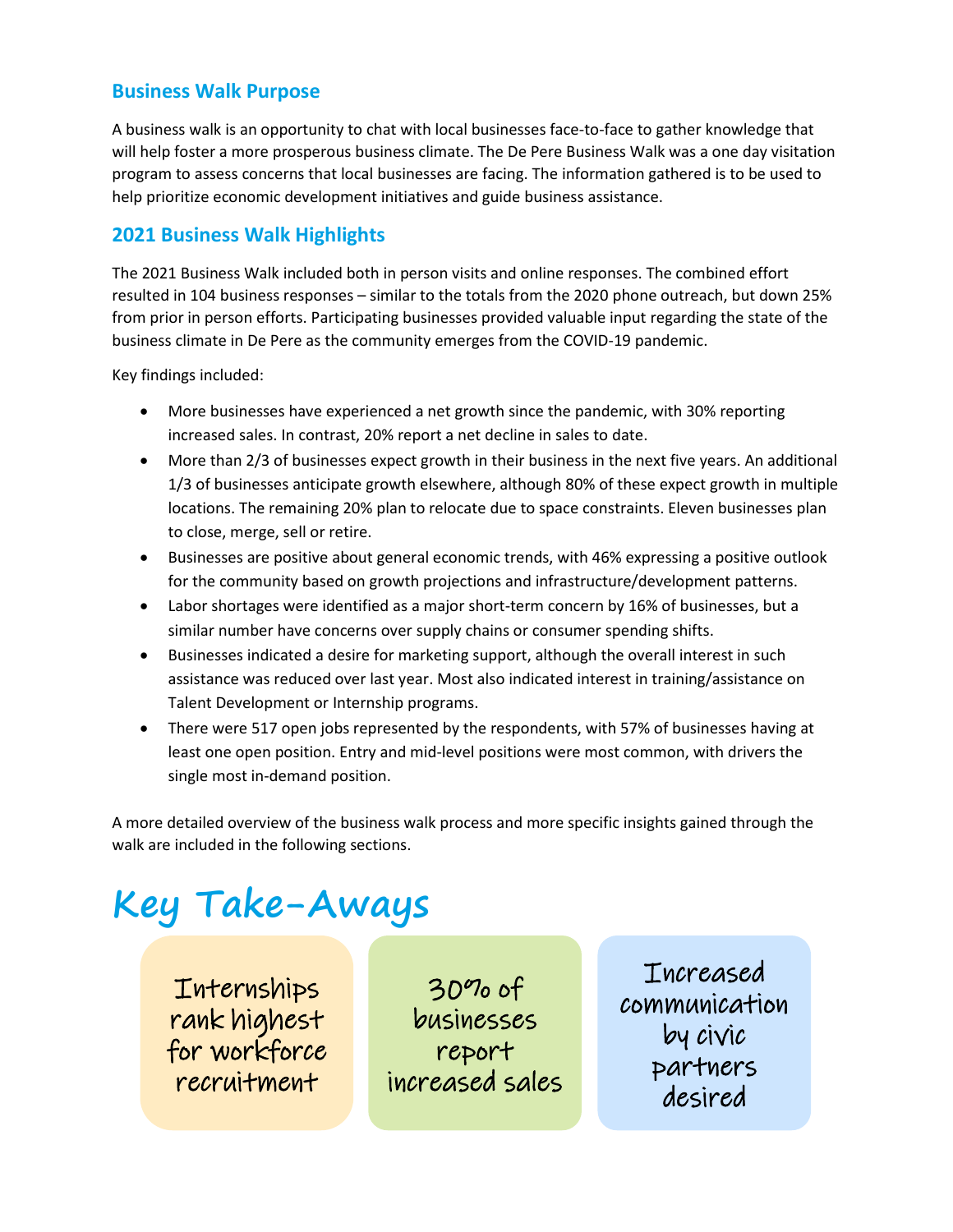# **Business Walk Purpose**

A business walk is an opportunity to chat with local businesses face-to-face to gather knowledge that will help foster a more prosperous business climate. The De Pere Business Walk was a one day visitation program to assess concerns that local businesses are facing. The information gathered is to be used to help prioritize economic development initiatives and guide business assistance.

# **2021 Business Walk Highlights**

The 2021 Business Walk included both in person visits and online responses. The combined effort resulted in 104 business responses – similar to the totals from the 2020 phone outreach, but down 25% from prior in person efforts. Participating businesses provided valuable input regarding the state of the business climate in De Pere as the community emerges from the COVID-19 pandemic.

Key findings included:

- More businesses have experienced a net growth since the pandemic, with 30% reporting increased sales. In contrast, 20% report a net decline in sales to date.
- More than 2/3 of businesses expect growth in their business in the next five years. An additional 1/3 of businesses anticipate growth elsewhere, although 80% of these expect growth in multiple locations. The remaining 20% plan to relocate due to space constraints. Eleven businesses plan to close, merge, sell or retire.
- Businesses are positive about general economic trends, with 46% expressing a positive outlook for the community based on growth projections and infrastructure/development patterns.
- Labor shortages were identified as a major short-term concern by 16% of businesses, but a similar number have concerns over supply chains or consumer spending shifts.
- Businesses indicated a desire for marketing support, although the overall interest in such assistance was reduced over last year. Most also indicated interest in training/assistance on Talent Development or Internship programs.
- There were 517 open jobs represented by the respondents, with 57% of businesses having at least one open position. Entry and mid-level positions were most common, with drivers the single most in-demand position.

A more detailed overview of the business walk process and more specific insights gained through the walk are included in the following sections.

# **Key Take-Aways**

Internships rank highest for workforce recruitment

30% of businesses report increased sales

Increased communication by civic partners desired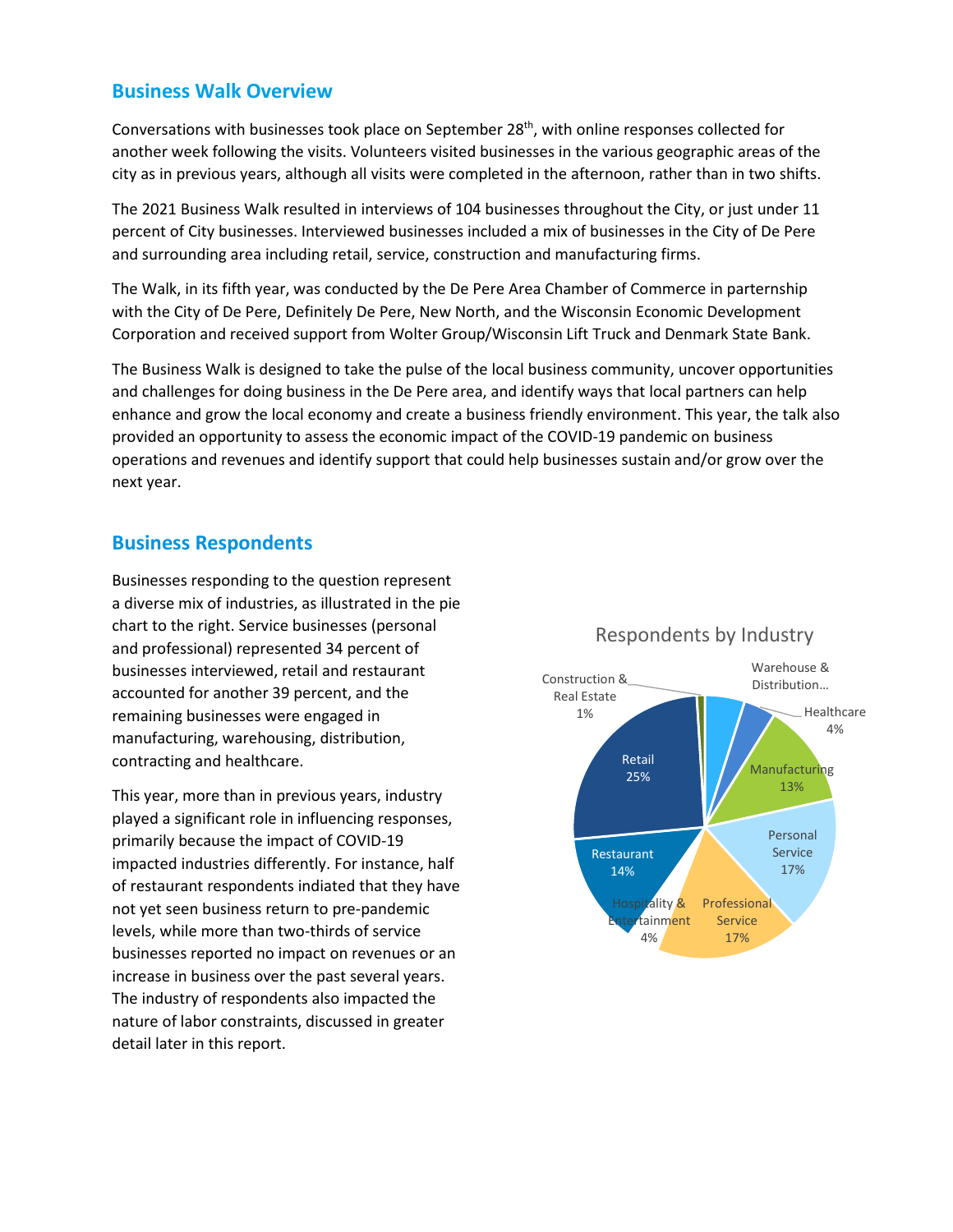## **Business Walk Overview**

Conversations with businesses took place on September  $28<sup>th</sup>$ , with online responses collected for another week following the visits. Volunteers visited businesses in the various geographic areas of the city as in previous years, although all visits were completed in the afternoon, rather than in two shifts.

The 2021 Business Walk resulted in interviews of 104 businesses throughout the City, or just under 11 percent of City businesses. Interviewed businesses included a mix of businesses in the City of De Pere and surrounding area including retail, service, construction and manufacturing firms.

The Walk, in its fifth year, was conducted by the De Pere Area Chamber of Commerce in parternship with the City of De Pere, Definitely De Pere, New North, and the Wisconsin Economic Development Corporation and received support from Wolter Group/Wisconsin Lift Truck and Denmark State Bank.

The Business Walk is designed to take the pulse of the local business community, uncover opportunities and challenges for doing business in the De Pere area, and identify ways that local partners can help enhance and grow the local economy and create a business friendly environment. This year, the talk also provided an opportunity to assess the economic impact of the COVID-19 pandemic on business operations and revenues and identify support that could help businesses sustain and/or grow over the next year.

## **Business Respondents**

Businesses responding to the question represent a diverse mix of industries, as illustrated in the pie chart to the right. Service businesses (personal and professional) represented 34 percent of businesses interviewed, retail and restaurant accounted for another 39 percent, and the remaining businesses were engaged in manufacturing, warehousing, distribution, contracting and healthcare.

This year, more than in previous years, industry played a significant role in influencing responses, primarily because the impact of COVID-19 impacted industries differently. For instance, half of restaurant respondents indiated that they have not yet seen business return to pre-pandemic levels, while more than two-thirds of service businesses reported no impact on revenues or an increase in business over the past several years. The industry of respondents also impacted the nature of labor constraints, discussed in greater detail later in this report.



## Respondents by Industry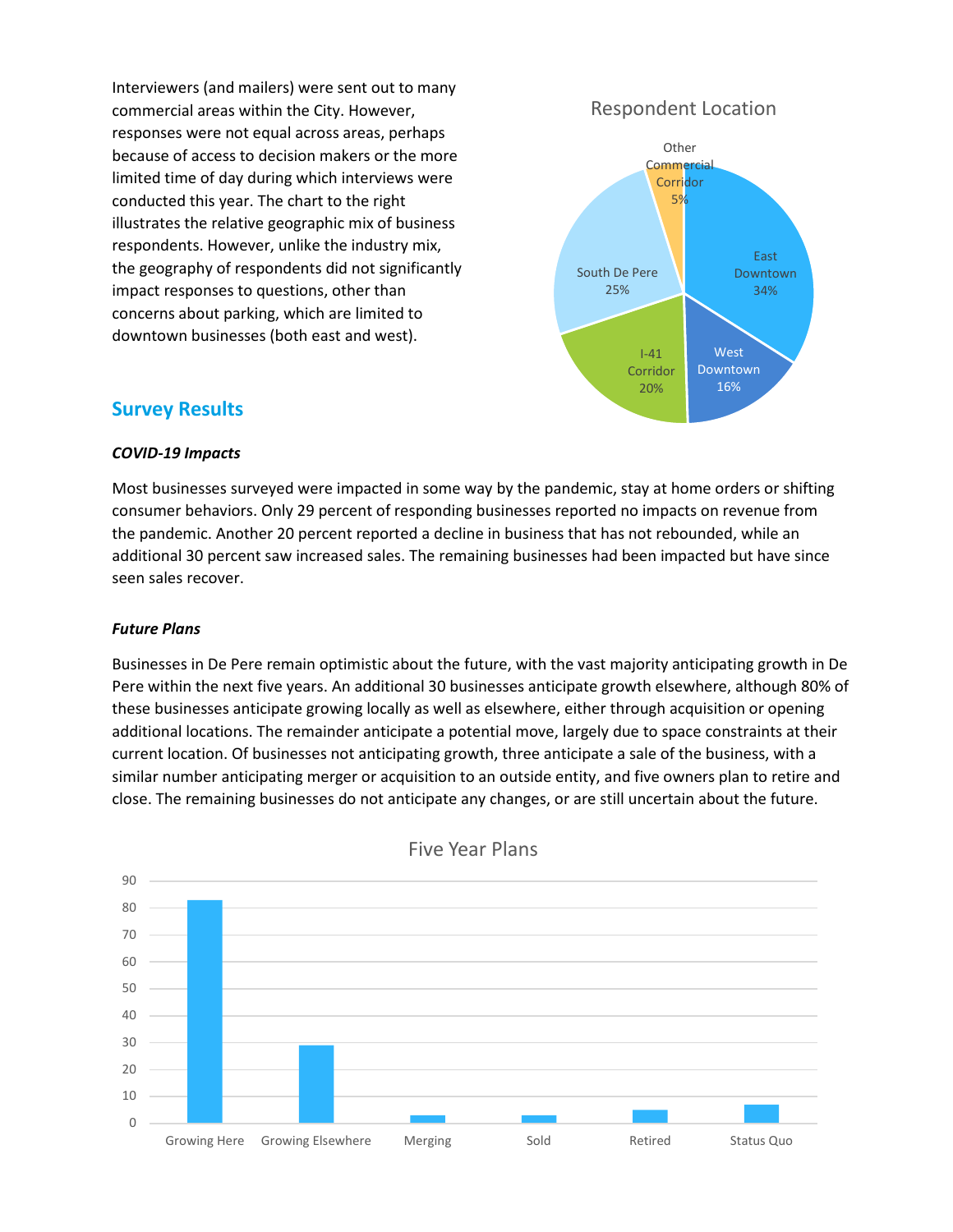Interviewers (and mailers) were sent out to many commercial areas within the City. However, responses were not equal across areas, perhaps because of access to decision makers or the more limited time of day during which interviews were conducted this year. The chart to the right illustrates the relative geographic mix of business respondents. However, unlike the industry mix, the geography of respondents did not significantly impact responses to questions, other than concerns about parking, which are limited to downtown businesses (both east and west).

## Respondent Location



## **Survey Results**

#### *COVID-19 Impacts*

Most businesses surveyed were impacted in some way by the pandemic, stay at home orders or shifting consumer behaviors. Only 29 percent of responding businesses reported no impacts on revenue from the pandemic. Another 20 percent reported a decline in business that has not rebounded, while an additional 30 percent saw increased sales. The remaining businesses had been impacted but have since seen sales recover.

#### *Future Plans*

Businesses in De Pere remain optimistic about the future, with the vast majority anticipating growth in De Pere within the next five years. An additional 30 businesses anticipate growth elsewhere, although 80% of these businesses anticipate growing locally as well as elsewhere, either through acquisition or opening additional locations. The remainder anticipate a potential move, largely due to space constraints at their current location. Of businesses not anticipating growth, three anticipate a sale of the business, with a similar number anticipating merger or acquisition to an outside entity, and five owners plan to retire and close. The remaining businesses do not anticipate any changes, or are still uncertain about the future.



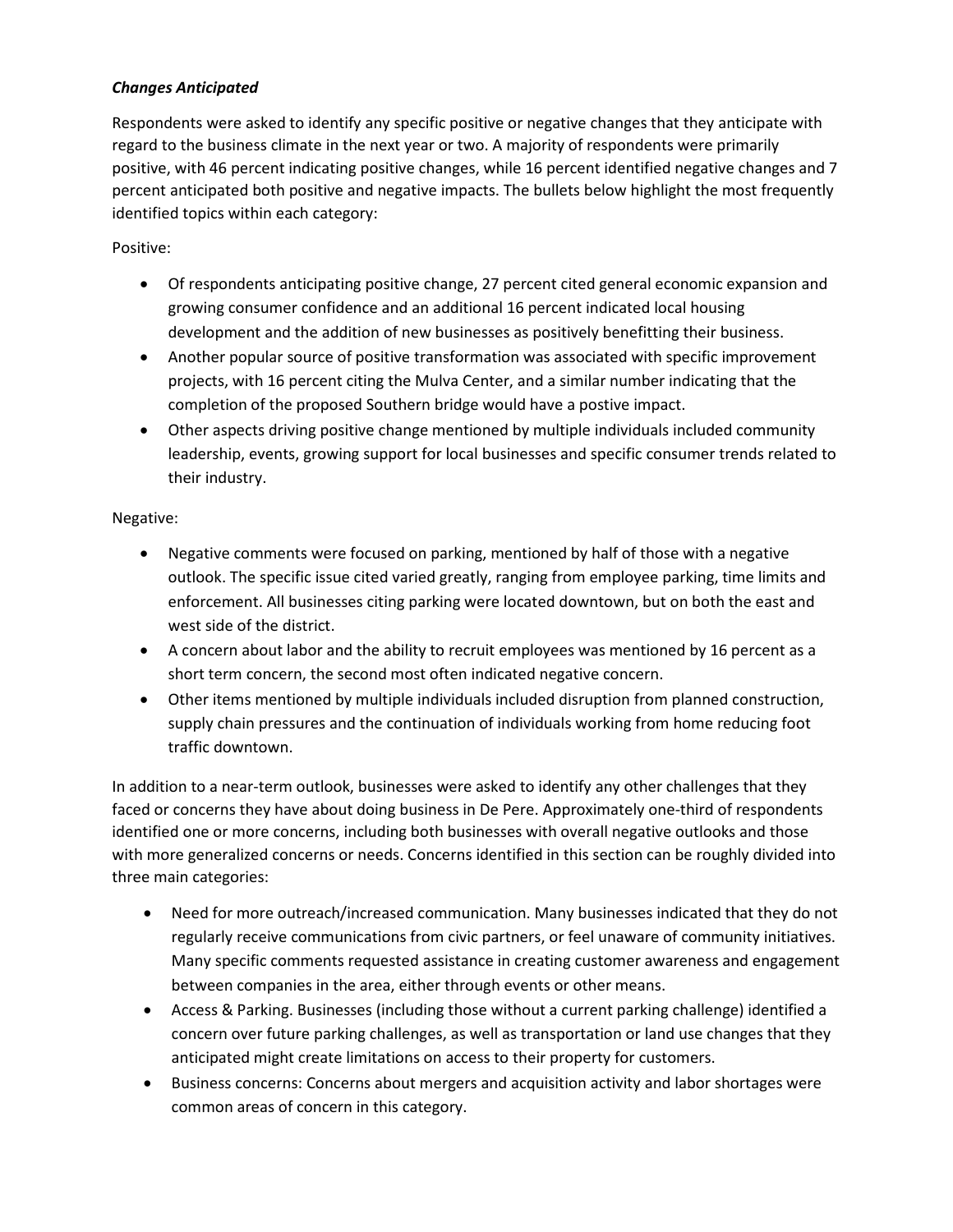## *Changes Anticipated*

Respondents were asked to identify any specific positive or negative changes that they anticipate with regard to the business climate in the next year or two. A majority of respondents were primarily positive, with 46 percent indicating positive changes, while 16 percent identified negative changes and 7 percent anticipated both positive and negative impacts. The bullets below highlight the most frequently identified topics within each category:

## Positive:

- Of respondents anticipating positive change, 27 percent cited general economic expansion and growing consumer confidence and an additional 16 percent indicated local housing development and the addition of new businesses as positively benefitting their business.
- Another popular source of positive transformation was associated with specific improvement projects, with 16 percent citing the Mulva Center, and a similar number indicating that the completion of the proposed Southern bridge would have a postive impact.
- Other aspects driving positive change mentioned by multiple individuals included community leadership, events, growing support for local businesses and specific consumer trends related to their industry.

## Negative:

- Negative comments were focused on parking, mentioned by half of those with a negative outlook. The specific issue cited varied greatly, ranging from employee parking, time limits and enforcement. All businesses citing parking were located downtown, but on both the east and west side of the district.
- A concern about labor and the ability to recruit employees was mentioned by 16 percent as a short term concern, the second most often indicated negative concern.
- Other items mentioned by multiple individuals included disruption from planned construction, supply chain pressures and the continuation of individuals working from home reducing foot traffic downtown.

In addition to a near-term outlook, businesses were asked to identify any other challenges that they faced or concerns they have about doing business in De Pere. Approximately one-third of respondents identified one or more concerns, including both businesses with overall negative outlooks and those with more generalized concerns or needs. Concerns identified in this section can be roughly divided into three main categories:

- Need for more outreach/increased communication. Many businesses indicated that they do not regularly receive communications from civic partners, or feel unaware of community initiatives. Many specific comments requested assistance in creating customer awareness and engagement between companies in the area, either through events or other means.
- Access & Parking. Businesses (including those without a current parking challenge) identified a concern over future parking challenges, as well as transportation or land use changes that they anticipated might create limitations on access to their property for customers.
- Business concerns: Concerns about mergers and acquisition activity and labor shortages were common areas of concern in this category.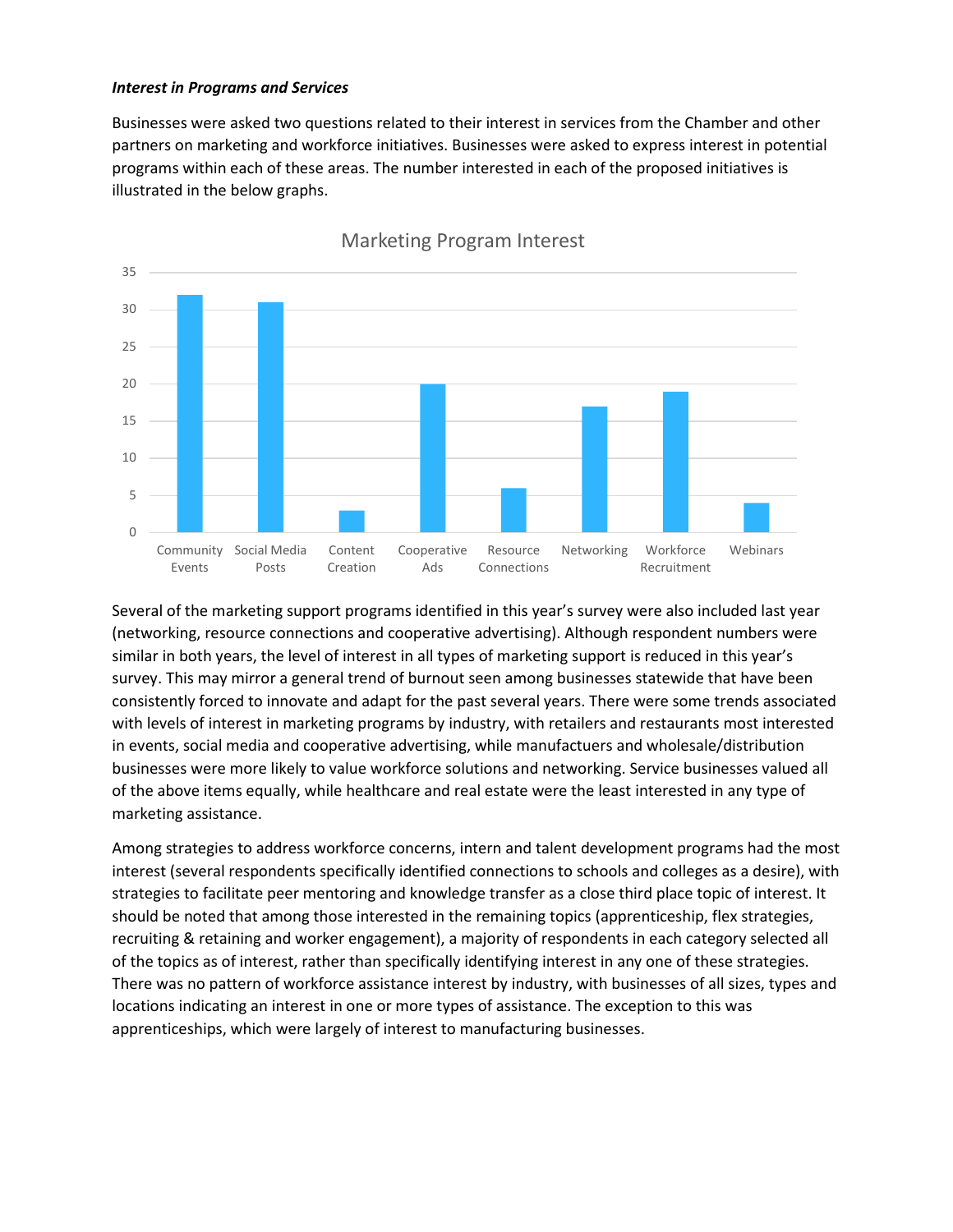#### *Interest in Programs and Services*

Businesses were asked two questions related to their interest in services from the Chamber and other partners on marketing and workforce initiatives. Businesses were asked to express interest in potential programs within each of these areas. The number interested in each of the proposed initiatives is illustrated in the below graphs.



Marketing Program Interest

Several of the marketing support programs identified in this year's survey were also included last year (networking, resource connections and cooperative advertising). Although respondent numbers were similar in both years, the level of interest in all types of marketing support is reduced in this year's survey. This may mirror a general trend of burnout seen among businesses statewide that have been consistently forced to innovate and adapt for the past several years. There were some trends associated with levels of interest in marketing programs by industry, with retailers and restaurants most interested in events, social media and cooperative advertising, while manufactuers and wholesale/distribution businesses were more likely to value workforce solutions and networking. Service businesses valued all of the above items equally, while healthcare and real estate were the least interested in any type of marketing assistance.

Among strategies to address workforce concerns, intern and talent development programs had the most interest (several respondents specifically identified connections to schools and colleges as a desire), with strategies to facilitate peer mentoring and knowledge transfer as a close third place topic of interest. It should be noted that among those interested in the remaining topics (apprenticeship, flex strategies, recruiting & retaining and worker engagement), a majority of respondents in each category selected all of the topics as of interest, rather than specifically identifying interest in any one of these strategies. There was no pattern of workforce assistance interest by industry, with businesses of all sizes, types and locations indicating an interest in one or more types of assistance. The exception to this was apprenticeships, which were largely of interest to manufacturing businesses.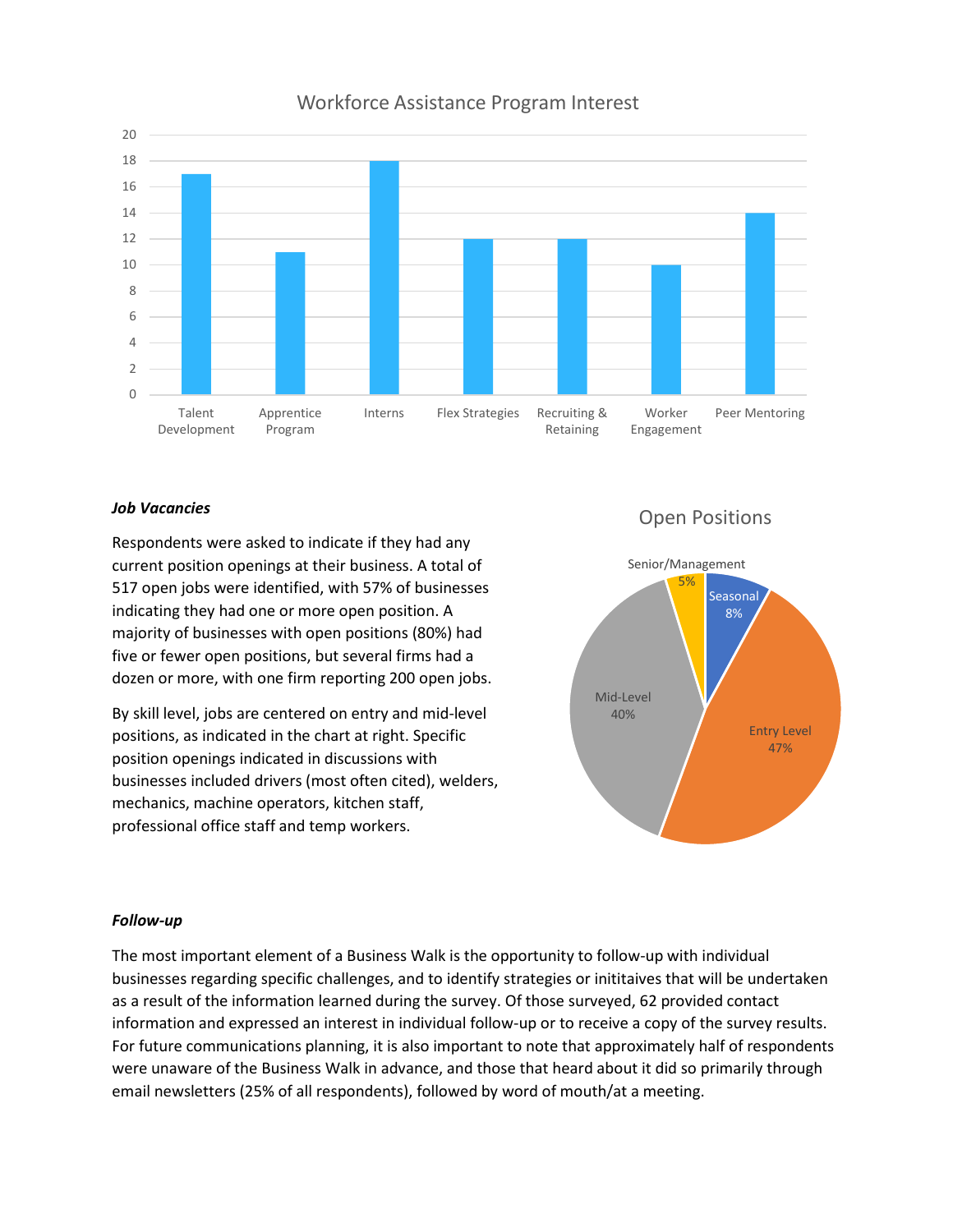

## Workforce Assistance Program Interest

#### *Job Vacancies*

Respondents were asked to indicate if they had any current position openings at their business. A total of 517 open jobs were identified, with 57% of businesses indicating they had one or more open position. A majority of businesses with open positions (80%) had five or fewer open positions, but several firms had a dozen or more, with one firm reporting 200 open jobs.

By skill level, jobs are centered on entry and mid-level positions, as indicated in the chart at right. Specific position openings indicated in discussions with businesses included drivers (most often cited), welders, mechanics, machine operators, kitchen staff, professional office staff and temp workers.

# Open Positions



#### *Follow-up*

The most important element of a Business Walk is the opportunity to follow-up with individual businesses regarding specific challenges, and to identify strategies or inititaives that will be undertaken as a result of the information learned during the survey. Of those surveyed, 62 provided contact information and expressed an interest in individual follow-up or to receive a copy of the survey results. For future communications planning, it is also important to note that approximately half of respondents were unaware of the Business Walk in advance, and those that heard about it did so primarily through email newsletters (25% of all respondents), followed by word of mouth/at a meeting.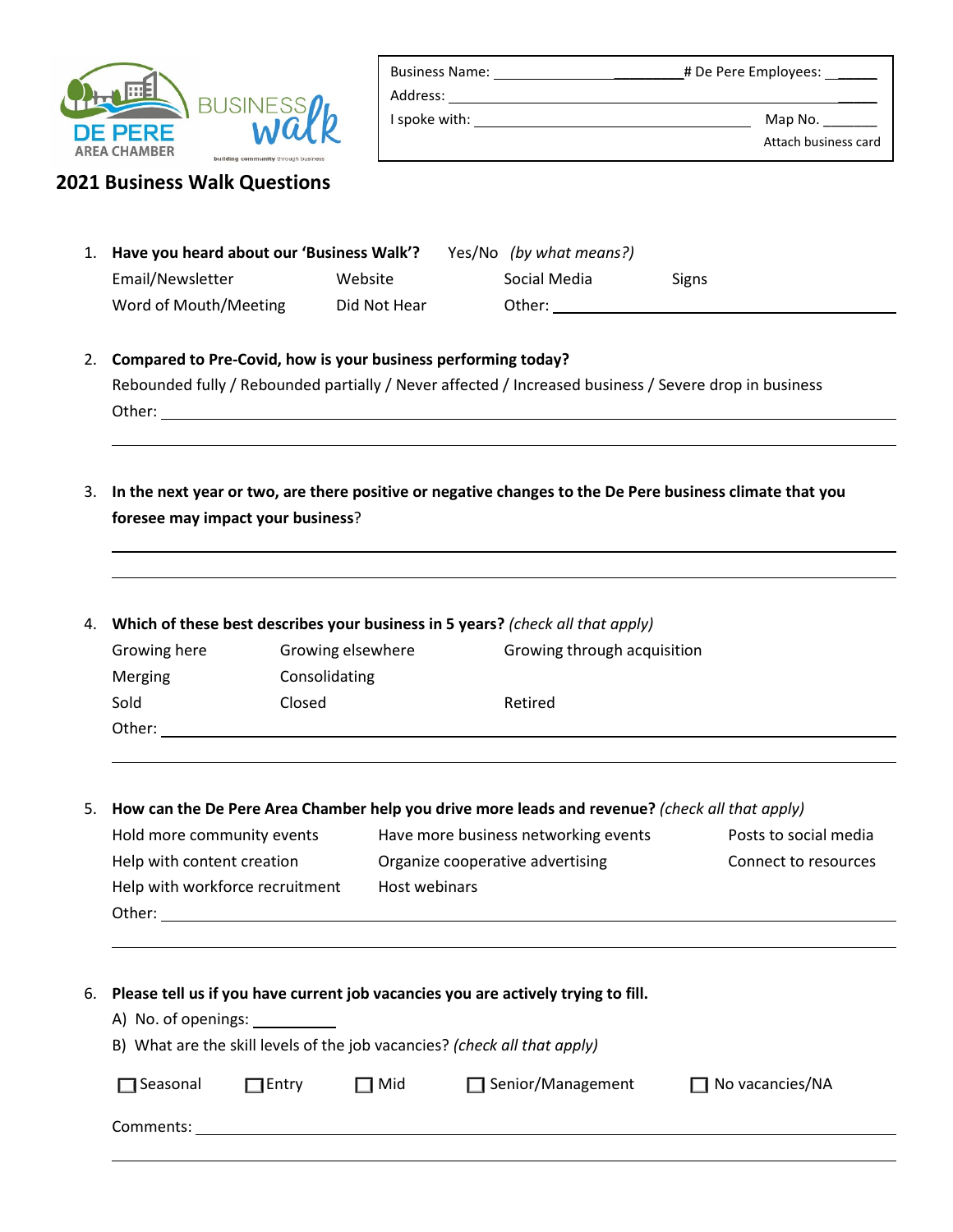

| <b>Business Name:</b> | # De Pere Employees: |  |
|-----------------------|----------------------|--|
| Address:              |                      |  |

I spoke with: Map No. \_\_\_\_\_\_\_ Attach business card

| <b>2021 Business Walk Questions</b> |  |  |
|-------------------------------------|--|--|
|-------------------------------------|--|--|

| 1. Have you heard about our 'Business Walk'? |              |  | Yes/No (by what means?) |              |
|----------------------------------------------|--------------|--|-------------------------|--------------|
| Email/Newsletter                             | Website      |  | Social Media            | <b>Signs</b> |
| Word of Mouth/Meeting                        | Did Not Hear |  | Other:                  |              |

2. **Compared to Pre-Covid, how is your business performing today?** Rebounded fully / Rebounded partially / Never affected / Increased business / Severe drop in business Other: when the contract of the contract of the contract of the contract of the contract of the contract of the contract of the contract of the contract of the contract of the contract of the contract of the contract of th

3. **In the next year or two, are there positive or negative changes to the De Pere business climate that you foresee may impact your business**?

| 4. | Which of these best describes your business in 5 years? (check all that apply) |                   |                             |  |
|----|--------------------------------------------------------------------------------|-------------------|-----------------------------|--|
|    | Growing here                                                                   | Growing elsewhere | Growing through acquisition |  |
|    | <b>Merging</b>                                                                 | Consolidating     |                             |  |
|    | Sold                                                                           | Closed            | Retired                     |  |
|    | Other:                                                                         |                   |                             |  |

# 5. **How can the De Pere Area Chamber help you drive more leads and revenue?** *(check all that apply)*

| Hold more community events      | Have more business networking events | Posts to social media |
|---------------------------------|--------------------------------------|-----------------------|
| Help with content creation      | Organize cooperative advertising     | Connect to resources  |
| Help with workforce recruitment | Host webinars                        |                       |
| Other:                          |                                      |                       |

| 6. Please tell us if you have current job vacancies you are actively trying to fill. |
|--------------------------------------------------------------------------------------|
|                                                                                      |

A) No. of openings:

|  | B) What are the skill levels of the job vacancies? (check all that apply) |  |  |  |  |
|--|---------------------------------------------------------------------------|--|--|--|--|
|--|---------------------------------------------------------------------------|--|--|--|--|

| $\Box$ Seasonal | $\Box$ Entry | $\Box$ Mid | $\Box$ Senior/Management | $\Box$ No vacancies/NA |
|-----------------|--------------|------------|--------------------------|------------------------|
| Comments:       |              |            |                          |                        |